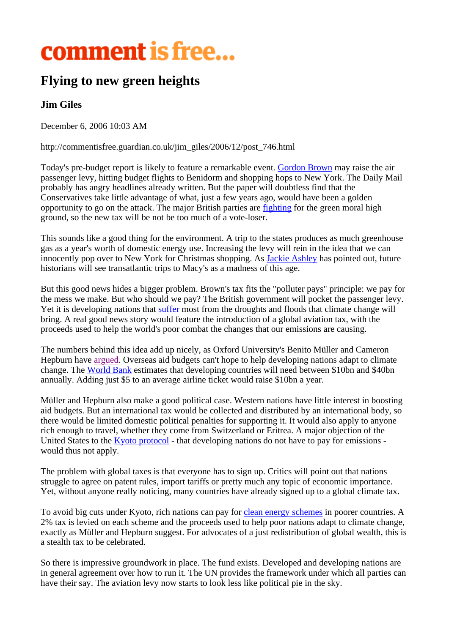## comment is free...

## **Flying to new green heights**

## **Jim Giles**

December 6, 2006 10:03 AM

http://commentisfree.guardian.co.uk/jim\_giles/2006/12/post\_746.html

Today's pre-budget report is likely to feature a remarkable event. Gordon Brown may raise the air passenger levy, hitting budget flights to Benidorm and shopping hops to New York. The Daily Mail probably has angry headlines already written. But the paper will doubtless find that the Conservatives take little advantage of what, just a few years ago, would have been a golden opportunity to go on the attack. The major British parties are fighting for the green moral high ground, so the new tax will be not be too much of a vote-loser.

This sounds like a good thing for the environment. A trip to the states produces as much greenhouse gas as a year's worth of domestic energy use. Increasing the levy will rein in the idea that we can innocently pop over to New York for Christmas shopping. As **Jackie Ashley** has pointed out, future historians will see transatlantic trips to Macy's as a madness of this age.

But this good news hides a bigger problem. Brown's tax fits the "polluter pays" principle: we pay for the mess we make. But who should we pay? The British government will pocket the passenger levy. Yet it is developing nations that suffer most from the droughts and floods that climate change will bring. A real good news story would feature the introduction of a global aviation tax, with the proceeds used to help the world's poor combat the changes that our emissions are causing.

The numbers behind this idea add up nicely, as Oxford University's Benito Müller and Cameron Hepburn have argued. Overseas aid budgets can't hope to help developing nations adapt to climate change. The World Bank estimates that developing countries will need between \$10bn and \$40bn annually. Adding just \$5 to an average airline ticket would raise \$10bn a year.

Müller and Hepburn also make a good political case. Western nations have little interest in boosting aid budgets. But an international tax would be collected and distributed by an international body, so there would be limited domestic political penalties for supporting it. It would also apply to anyone rich enough to travel, whether they come from Switzerland or Eritrea. A major objection of the United States to the Kyoto protocol - that developing nations do not have to pay for emissions would thus not apply.

The problem with global taxes is that everyone has to sign up. Critics will point out that nations struggle to agree on patent rules, import tariffs or pretty much any topic of economic importance. Yet, without anyone really noticing, many countries have already signed up to a global climate tax.

To avoid big cuts under Kyoto, rich nations can pay for clean energy schemes in poorer countries. A 2% tax is levied on each scheme and the proceeds used to help poor nations adapt to climate change, exactly as Müller and Hepburn suggest. For advocates of a just redistribution of global wealth, this is a stealth tax to be celebrated.

So there is impressive groundwork in place. The fund exists. Developed and developing nations are in general agreement over how to run it. The UN provides the framework under which all parties can have their say. The aviation levy now starts to look less like political pie in the sky.